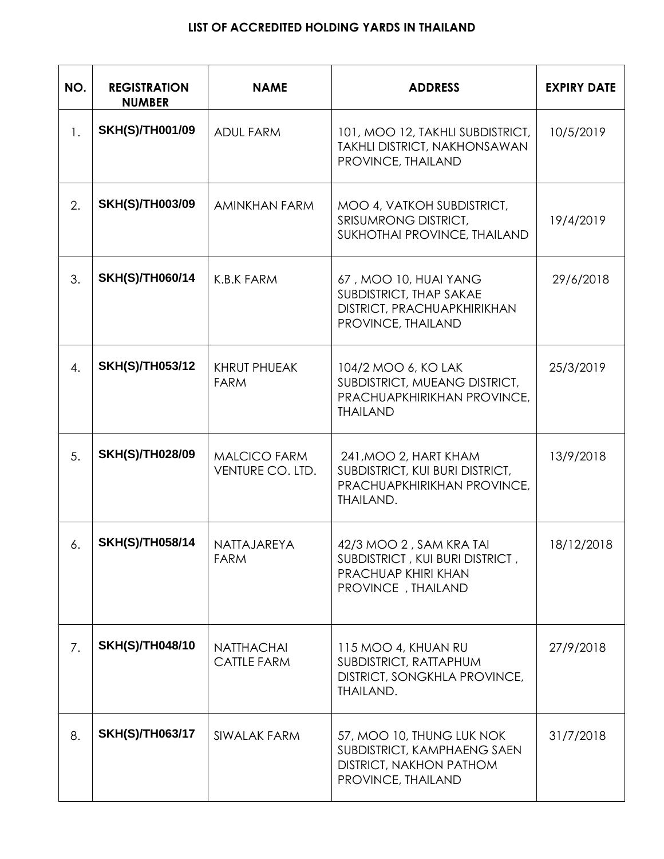## **LIST OF ACCREDITED HOLDING YARDS IN THAILAND**

| NO.            | <b>REGISTRATION</b><br><b>NUMBER</b> | <b>NAME</b>                             | <b>ADDRESS</b>                                                                                                   | <b>EXPIRY DATE</b> |
|----------------|--------------------------------------|-----------------------------------------|------------------------------------------------------------------------------------------------------------------|--------------------|
| $\mathbf{1}$ . | <b>SKH(S)/TH001/09</b>               | <b>ADUL FARM</b>                        | 101, MOO 12, TAKHLI SUBDISTRICT,<br><b>TAKHLI DISTRICT, NAKHONSAWAN</b><br>PROVINCE, THAILAND                    | 10/5/2019          |
| 2.             | <b>SKH(S)/TH003/09</b>               | <b>AMINKHAN FARM</b>                    | MOO 4, VATKOH SUBDISTRICT,<br>SRISUMRONG DISTRICT,<br>SUKHOTHAI PROVINCE, THAILAND                               | 19/4/2019          |
| 3.             | <b>SKH(S)/TH060/14</b>               | K.B.K FARM                              | 67, MOO 10, HUAI YANG<br>SUBDISTRICT, THAP SAKAE<br>DISTRICT, PRACHUAPKHIRIKHAN<br>PROVINCE, THAILAND            | 29/6/2018          |
| 4.             | <b>SKH(S)/TH053/12</b>               | <b>KHRUT PHUEAK</b><br><b>FARM</b>      | 104/2 MOO 6, KO LAK<br>SUBDISTRICT, MUEANG DISTRICT,<br>PRACHUAPKHIRIKHAN PROVINCE,<br><b>THAILAND</b>           | 25/3/2019          |
| 5.             | <b>SKH(S)/TH028/09</b>               | <b>MALCICO FARM</b><br>VENTURE CO. LTD. | 241, MOO 2, HART KHAM<br>SUBDISTRICT, KUI BURI DISTRICT,<br>PRACHUAPKHIRIKHAN PROVINCE,<br><b>THAILAND.</b>      | 13/9/2018          |
| 6.             | <b>SKH(S)/TH058/14</b>               | NATTAJAREYA<br><b>FARM</b>              | 42/3 MOO 2, SAM KRA TAI<br>SUBDISTRICT, KUI BURI DISTRICT,<br>PRACHUAP KHIRI KHAN<br>PROVINCE, THAILAND          | 18/12/2018         |
| 7.             | <b>SKH(S)/TH048/10</b>               | <b>NATTHACHAI</b><br><b>CATTLE FARM</b> | 115 MOO 4, KHUAN RU<br>SUBDISTRICT, RATTAPHUM<br>DISTRICT, SONGKHLA PROVINCE,<br>THAILAND.                       | 27/9/2018          |
| 8.             | <b>SKH(S)/TH063/17</b>               | SIWALAK FARM                            | 57, MOO 10, THUNG LUK NOK<br>SUBDISTRICT, KAMPHAENG SAEN<br><b>DISTRICT, NAKHON PATHOM</b><br>PROVINCE, THAILAND | 31/7/2018          |